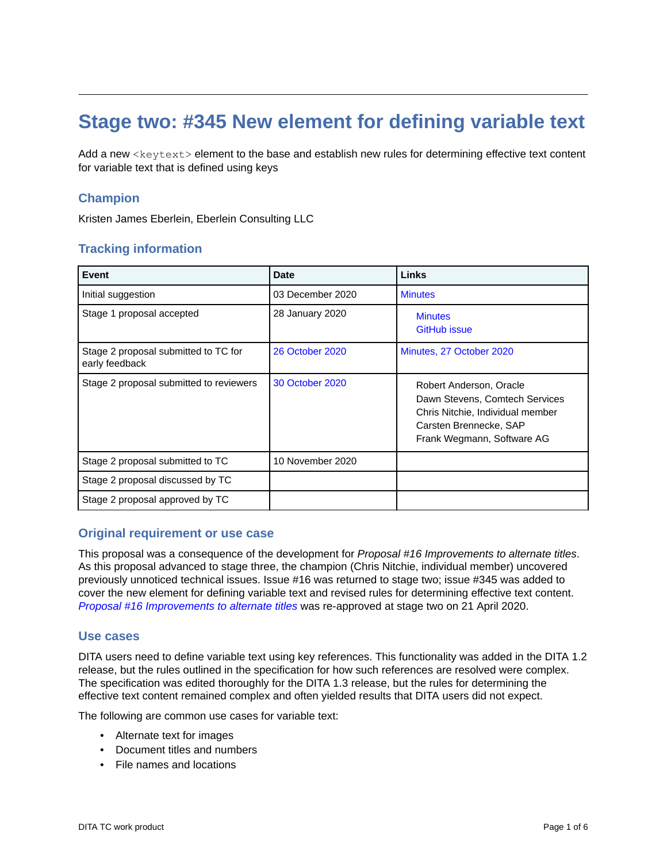# **Stage two: #345 New element for defining variable text**

Add a new <keytext> element to the base and establish new rules for determining effective text content for variable text that is defined using keys

# **Champion**

Kristen James Eberlein, Eberlein Consulting LLC

# **Tracking information**

| Event                                                  | Date                   | Links                                                                                                                                                 |
|--------------------------------------------------------|------------------------|-------------------------------------------------------------------------------------------------------------------------------------------------------|
| Initial suggestion                                     | 03 December 2020       | <b>Minutes</b>                                                                                                                                        |
| Stage 1 proposal accepted                              | 28 January 2020        | <b>Minutes</b><br><b>GitHub issue</b>                                                                                                                 |
| Stage 2 proposal submitted to TC for<br>early feedback | <b>26 October 2020</b> | Minutes, 27 October 2020                                                                                                                              |
| Stage 2 proposal submitted to reviewers                | 30 October 2020        | Robert Anderson, Oracle<br>Dawn Stevens, Comtech Services<br>Chris Nitchie, Individual member<br>Carsten Brennecke, SAP<br>Frank Wegmann, Software AG |
| Stage 2 proposal submitted to TC                       | 10 November 2020       |                                                                                                                                                       |
| Stage 2 proposal discussed by TC                       |                        |                                                                                                                                                       |
| Stage 2 proposal approved by TC                        |                        |                                                                                                                                                       |

# **Original requirement or use case**

This proposal was a consequence of the development for *Proposal #16 Improvements to alternate titles*. As this proposal advanced to stage three, the champion (Chris Nitchie, individual member) uncovered previously unnoticed technical issues. Issue #16 was returned to stage two; issue #345 was added to cover the new element for defining variable text and revised rules for determining effective text content. *[Proposal #16 Improvements to alternate titles](https://lists.oasis-open.org/archives/dita/202004/msg00003.html)* was re-approved at stage two on 21 April 2020.

## **Use cases**

DITA users need to define variable text using key references. This functionality was added in the DITA 1.2 release, but the rules outlined in the specification for how such references are resolved were complex. The specification was edited thoroughly for the DITA 1.3 release, but the rules for determining the effective text content remained complex and often yielded results that DITA users did not expect.

The following are common use cases for variable text:

- Alternate text for images
- Document titles and numbers
- File names and locations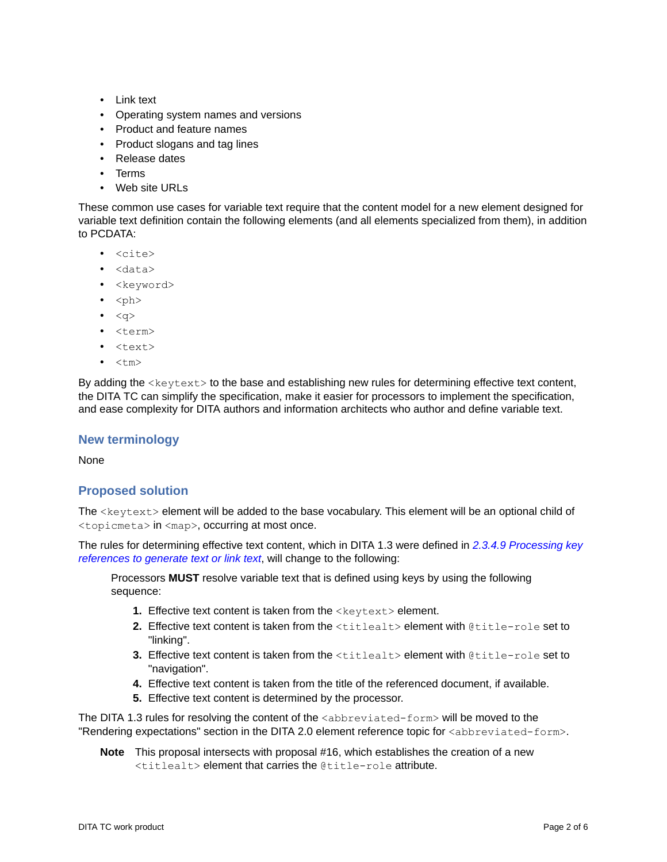- Link text
- Operating system names and versions
- Product and feature names
- Product slogans and tag lines
- Release dates
- Terms
- Web site URLs

These common use cases for variable text require that the content model for a new element designed for variable text definition contain the following elements (and all elements specialized from them), in addition to PCDATA:

- <cite>
- <data>
- < keyword>
- $\bullet$  <ph>
- $\bullet \quad <\alpha>$
- <term>
- <text>
- $\bullet$  <tm>

By adding the  $\langle$ keytext $\rangle$  to the base and establishing new rules for determining effective text content, the DITA TC can simplify the specification, make it easier for processors to implement the specification, and ease complexity for DITA authors and information architects who author and define variable text.

# **New terminology**

None

# **Proposed solution**

The <keytext> element will be added to the base vocabulary. This element will be an optional child of <topicmeta> in <map>, occurring at most once.

The rules for determining effective text content, which in DITA 1.3 were defined in *[2.3.4.9 Processing key](http://docs.oasis-open.org/dita/dita/v1.3/errata01/os/complete/part3-all-inclusive/archSpec/base/processing-keyref-for-text.html) [references to generate text or link text](http://docs.oasis-open.org/dita/dita/v1.3/errata01/os/complete/part3-all-inclusive/archSpec/base/processing-keyref-for-text.html)*, will change to the following:

Processors **MUST** resolve variable text that is defined using keys by using the following sequence:

- **1.** Effective text content is taken from the <keytext> element.
- **2.** Effective text content is taken from the <titlealt> element with @title-role set to "linking".
- **3.** Effective text content is taken from the <titlealt> element with @title-role set to "navigation".
- **4.** Effective text content is taken from the title of the referenced document, if available.
- **5.** Effective text content is determined by the processor.

The DITA 1.3 rules for resolving the content of the  $\alpha$ bbreviated-form> will be moved to the "Rendering expectations" section in the DITA 2.0 element reference topic for <abbreviated-form>.

**Note** This proposal intersects with proposal #16, which establishes the creation of a new <titlealt> element that carries the @title-role attribute.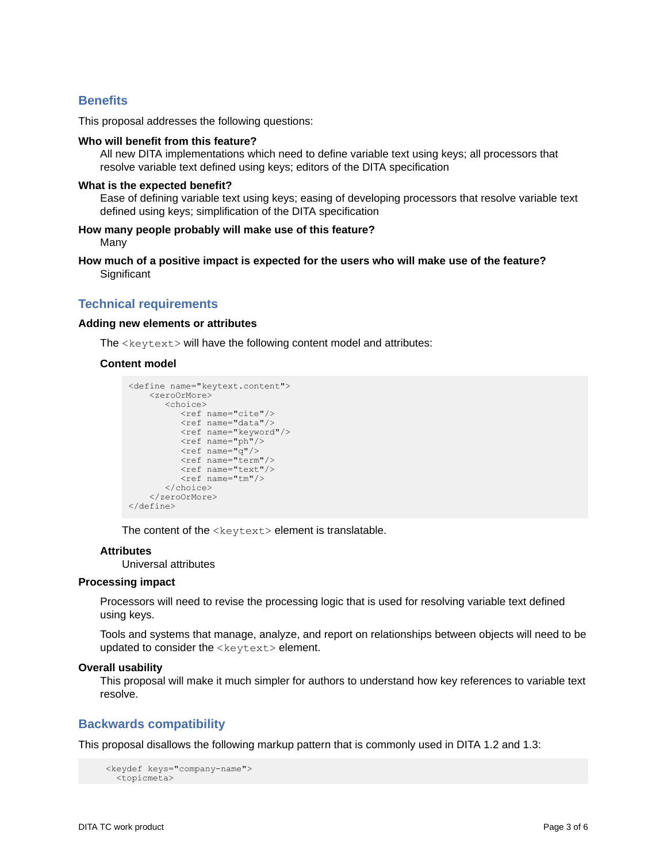# **Benefits**

This proposal addresses the following questions:

#### **Who will benefit from this feature?**

All new DITA implementations which need to define variable text using keys; all processors that resolve variable text defined using keys; editors of the DITA specification

## **What is the expected benefit?**

Ease of defining variable text using keys; easing of developing processors that resolve variable text defined using keys; simplification of the DITA specification

## **How many people probably will make use of this feature?** Many

**How much of a positive impact is expected for the users who will make use of the feature? Significant** 

## **Technical requirements**

#### **Adding new elements or attributes**

The <keytext> will have the following content model and attributes:

#### **Content model**

```
<define name="keytext.content">
    <zeroOrMore>
       <choice>
          <ref name="cite"/>
          <ref name="data"/> 
 <ref name="keyword"/>
 <ref name="ph"/>
          <ref name="q"/>
          <ref name="term"/>
          <ref name="text"/>
          <ref name="tm"/> 
       </choice>
    </zeroOrMore>
</define>
```
The content of the  $\langle$ keytext> element is translatable.

## **Attributes**

Universal attributes

#### **Processing impact**

Processors will need to revise the processing logic that is used for resolving variable text defined using keys.

Tools and systems that manage, analyze, and report on relationships between objects will need to be updated to consider the <keytext> element.

#### **Overall usability**

This proposal will make it much simpler for authors to understand how key references to variable text resolve.

# **Backwards compatibility**

This proposal disallows the following markup pattern that is commonly used in DITA 1.2 and 1.3:

```
 <keydef keys="company-name">
  <topicmeta>
```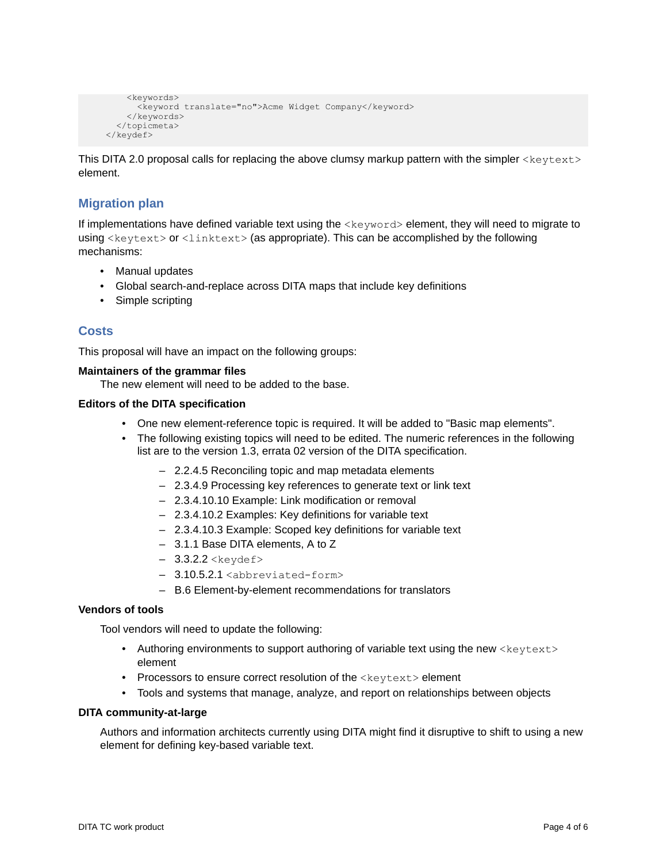```
 <keywords>
       <keyword translate="no">Acme Widget Company</keyword>
     </keywords>
   </topicmeta>
 </keydef>
```
This DITA 2.0 proposal calls for replacing the above clumsy markup pattern with the simpler <keytext> element.

# **Migration plan**

If implementations have defined variable text using the <keyword> element, they will need to migrate to using <keytext> or <linktext> (as appropriate). This can be accomplished by the following mechanisms:

- Manual updates
- Global search-and-replace across DITA maps that include key definitions
- Simple scripting

# **Costs**

This proposal will have an impact on the following groups:

## **Maintainers of the grammar files**

The new element will need to be added to the base.

## **Editors of the DITA specification**

- One new element-reference topic is required. It will be added to "Basic map elements".
- The following existing topics will need to be edited. The numeric references in the following list are to the version 1.3, errata 02 version of the DITA specification.
	- 2.2.4.5 Reconciling topic and map metadata elements
	- 2.3.4.9 Processing key references to generate text or link text
	- 2.3.4.10.10 Example: Link modification or removal
	- 2.3.4.10.2 Examples: Key definitions for variable text
	- 2.3.4.10.3 Example: Scoped key definitions for variable text
	- 3.1.1 Base DITA elements, A to Z
	- $-$  3.3.2.2 < keydef>
	- 3.10.5.2.1 <abbreviated-form>
	- B.6 Element-by-element recommendations for translators

## **Vendors of tools**

Tool vendors will need to update the following:

- Authoring environments to support authoring of variable text using the new  $\leq k \leq v$  text> element
- Processors to ensure correct resolution of the <keytext> element
- Tools and systems that manage, analyze, and report on relationships between objects

## **DITA community-at-large**

Authors and information architects currently using DITA might find it disruptive to shift to using a new element for defining key-based variable text.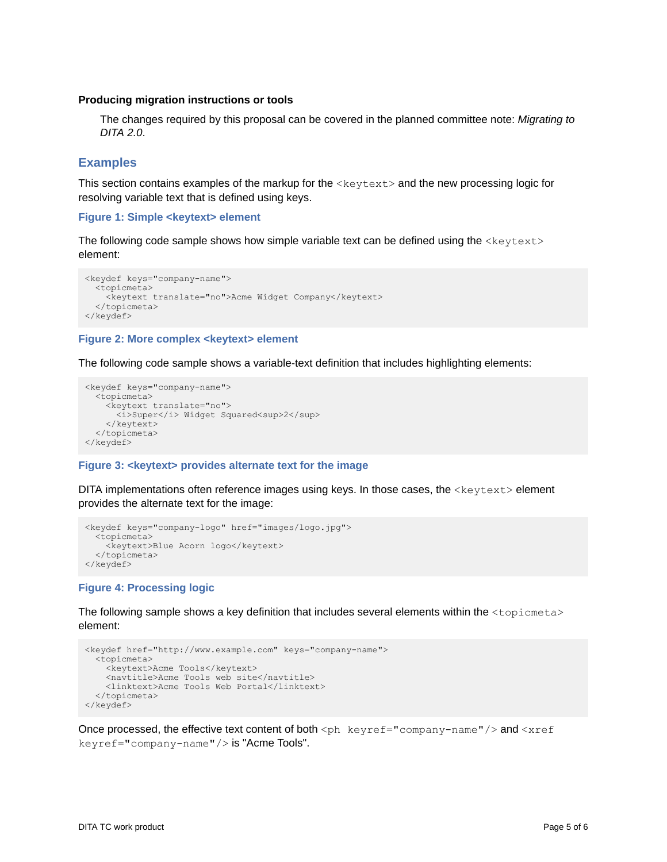## **Producing migration instructions or tools**

The changes required by this proposal can be covered in the planned committee note: *Migrating to DITA 2.0*.

# **Examples**

This section contains examples of the markup for the <keytext> and the new processing logic for resolving variable text that is defined using keys.

## **Figure 1: Simple <keytext> element**

The following code sample shows how simple variable text can be defined using the  $\langle$ keytext> element:

```
<keydef keys="company-name">
  <topicmeta>
    <keytext translate="no">Acme Widget Company</keytext>
   </topicmeta>
</keydef>
```
## **Figure 2: More complex <keytext> element**

The following code sample shows a variable-text definition that includes highlighting elements:

```
<keydef keys="company-name">
   <topicmeta>
   <keytext translate="no">
      <sup>2</sup>/>Super</i> Widget Squared<sup>2</sup>
     </keytext>
   </topicmeta>
</keydef>
```
## **Figure 3: <keytext> provides alternate text for the image**

DITA implementations often reference images using keys. In those cases, the <keytext> element provides the alternate text for the image:

```
<keydef keys="company-logo" href="images/logo.jpg">
  <topicmeta>
     <keytext>Blue Acorn logo</keytext>
   </topicmeta>
</keydef>
```
## **Figure 4: Processing logic**

The following sample shows a key definition that includes several elements within the  $\langle$ topicmeta> element:

```
<keydef href="http://www.example.com" keys="company-name">
   <topicmeta>
    <keytext>Acme Tools</keytext>
     <navtitle>Acme Tools web site</navtitle>
    <linktext>Acme Tools Web Portal</linktext>
  </topicmeta>
</keydef>
```
Once processed, the effective text content of both  $\langle$ ph keyref="company-name"/> and  $\langle$ xref keyref="company-name"/> is "Acme Tools".